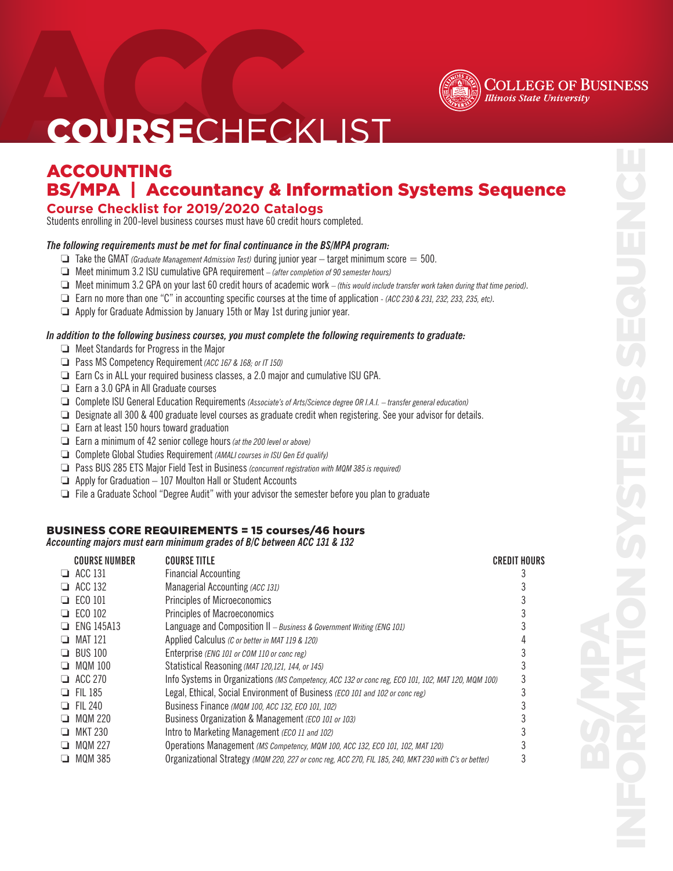

### **COLLEGE OF BUSINESS Illinois State University**

## **COURSECHECKLIST**

### ACCOUNTING BS/MPA | Accountancy & Information Systems Sequence

### **Course Checklist for 2019/2020 Catalogs**

Students enrolling in 200-level business courses must have 60 credit hours completed.

### *The following requirements must be met for final continuance in the BS/MPA program:*

- $\Box$  Take the GMAT *(Graduate Management Admission Test)* during junior year target minimum score = 500.
- □ Meet minimum 3.2 ISU cumulative GPA requirement  *(after completion of 90 semester hours)*
- □ Meet minimum 3.2 GPA on your last 60 credit hours of academic work (this would include transfer work taken during that time period).
- Earn no more than one "C" in accounting specific courses at the time of application  *(ACC 230 & 231, 232, 233, 235, etc)*.
- $\Box$  Apply for Graduate Admission by January 15th or May 1st during junior year.

### *In addition to the following business courses, you must complete the following requirements to graduate:*

- $\Box$  Meet Standards for Progress in the Major
- **a** Pass MS Competency Requirement (ACC 167 & 168; or IT 150)
- $\Box$  Earn Cs in ALL your required business classes, a 2.0 major and cumulative ISU GPA.
- $\Box$  Earn a 3.0 GPA in All Graduate courses
- □ Complete ISU General Education Requirements *(Associate's of Arts/Science degree OR I.A.I.* transfer general education)
- $\Box$  Designate all 300 & 400 graduate level courses as graduate credit when registering. See your advisor for details.
- $\Box$  Earn at least 150 hours toward graduation
- **Earn a minimum of 42 senior college hours** (at the 200 level or above)
- **Complete Global Studies Requirement** *(AMALI courses in ISU Gen Ed qualify)*
- **D** Pass BUS 285 ETS Major Field Test in Business *(concurrent registration with MQM 385 is required)*
- $\Box$  Apply for Graduation  $-107$  Moulton Hall or Student Accounts
- $\Box$  File a Graduate School "Degree Audit" with your advisor the semester before you plan to graduate

### BUSINESS CORE REQUIREMENTS = 15 courses/46 hours

*Accounting majors must earn minimum grades of B/C between ACC 131 & 132*

|     | <b>COURSE NUMBER</b> | COURSE TITLE                                                                                          | CREDIT HOURS |
|-----|----------------------|-------------------------------------------------------------------------------------------------------|--------------|
|     | $\Box$ ACC 131       | <b>Financial Accounting</b>                                                                           |              |
| ப   | ACC 132              | Managerial Accounting (ACC 131)                                                                       |              |
| H   | ECO 101              | <b>Principles of Microeconomics</b>                                                                   |              |
| . . | ECO 102              | <b>Principles of Macroeconomics</b>                                                                   |              |
| ப   | ENG 145A13           | Language and Composition II - Business & Government Writing (ENG 101)                                 |              |
| □   | MAT 121              | Applied Calculus (C or better in MAT 119 & 120)                                                       |              |
| ப   | <b>BUS 100</b>       | Enterprise (ENG 101 or COM 110 or conc reg)                                                           |              |
| ❏   | <b>MOM 100</b>       | Statistical Reasoning (MAT 120,121, 144, or 145)                                                      |              |
| □   | ACC 270              | Info Systems in Organizations (MS Competency, ACC 132 or conc reg, ECO 101, 102, MAT 120, MQM 100)    |              |
|     | <b>FII 185</b>       | Legal, Ethical, Social Environment of Business (ECO 101 and 102 or conc reg)                          |              |
| . . | FII 240              | Business Finance (MQM 100, ACC 132, ECO 101, 102)                                                     |              |
| □   | MQM 220              | Business Organization & Management (ECO 101 or 103)                                                   |              |
| H   | MKT 230              | Intro to Marketing Management (ECO 11 and 102)                                                        |              |
| ⊐   | <b>MOM 227</b>       | Operations Management (MS Competency, MQM 100, ACC 132, ECO 101, 102, MAT 120)                        |              |
| ப   | <b>MQM 385</b>       | Organizational Strategy (MQM 220, 227 or conc reg, ACC 270, FIL 185, 240, MKT 230 with C's or better) |              |